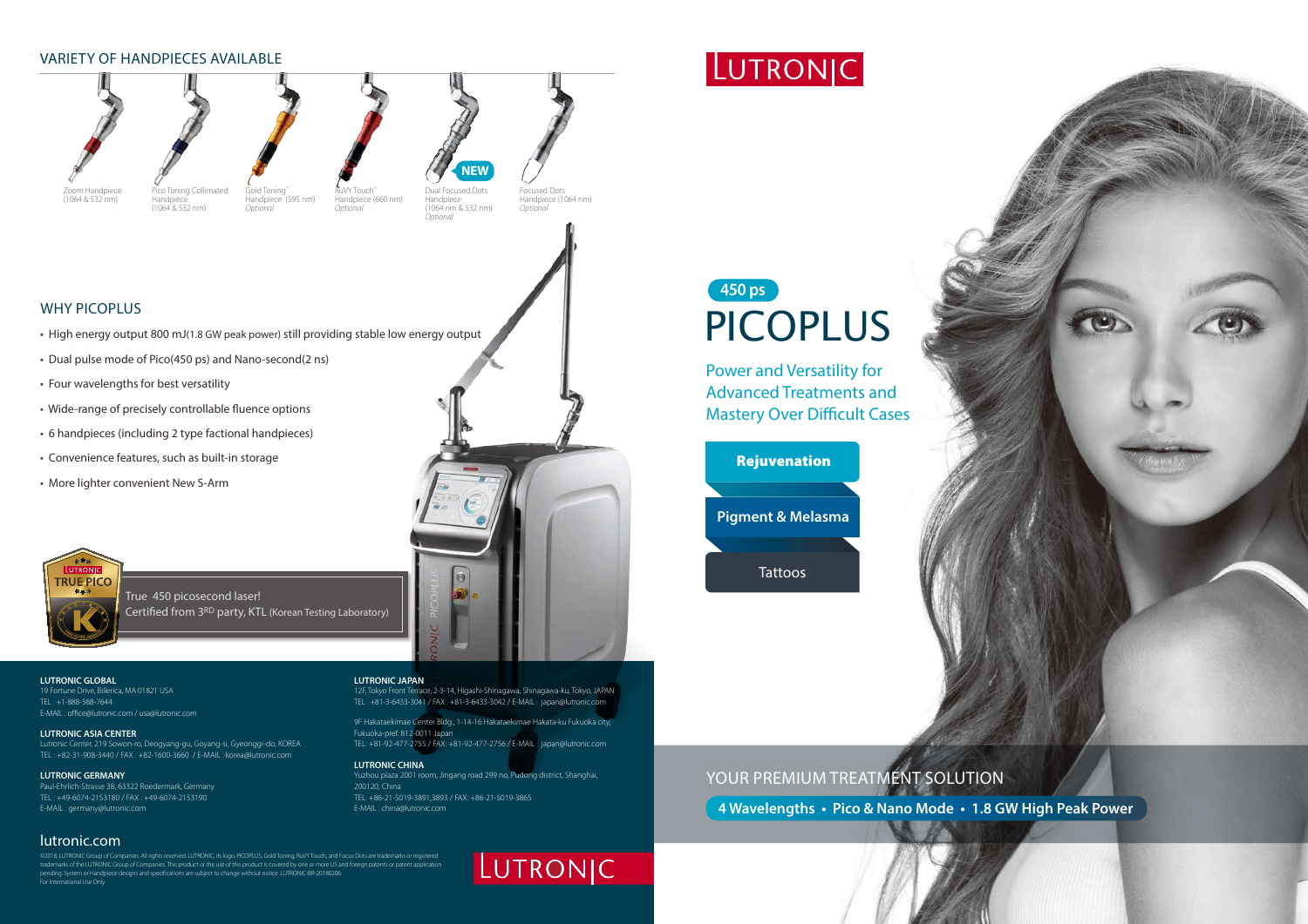### lutronic.com

©2018, LUTRONIC Group of Companies. All rights reserved. LUTRONIC, its logo, PICOPLUS, Gold Toning, RuVY Touch, and Focus Dots are trademarks or registered trademarks of the LUTRONIC Group of Companies. This product or the use of this product is covered by one or more US and foreign patents or patent application pending. System or Handpiece designs and specifications are subject to change without notice. LUTRONIC-BR-20180206 For International Use Only

# LUTRONIC

### Why PicopluS

- High energy output 800 mJ(1.8 GW peak power) still providing stable low energy output
- Dual pulse mode of Pico(450 ps) and Nano-second(2 ns)

RuVY Touch<sup>+</sup> *Optional*

True 450 picosecond laser! Certified from 3RD party, KTL (Korean Testing Laboratory)

- Four wavelengths for best versatility
- Wide-range of precisely controllable fluence options
- 6 handpieces (including 2 type factional handpieces)
- Convenience features, such as built-in storage
- More lighter convenient New S-Arm



**NEW**



(1064 & 532 nm)

Dual Focused Dots Handpiece (1064 nm & 532 nm) *Optional* Handpiece (660 nm)



(1064 & 532 nm)

Gold Toning+ Handpiece (595 nm) *Optional*

Focused Dots Handpiece (1064 nm) *Optional*

# LUTRONIC

# PICOPLUS **450 ps**

Power and Versatility for Advanced Treatments and Mastery Over Difficult Cases

**4 Wavelengths • Pico & Nano Mode • 1.8 GW High Peak Power**

### VARIETY OF HANDPIECES AVAILABLE





### **LUTRONIC GLOBAL**

19 Fortune Drive, Billerica, MA 01821 USA TEL : +1-888-588-7644 E-MAIL : office@lutronic.com / usa@lutronic.com

### **LUTRONIC ASIA CENTER**

Lutronic Center, 219 Sowon-ro, Deogyang-gu, Goyang-si, Gyeonggi-do, KOREA TEL : +82-31-908-3440 / FAX : +82-1600-3660 / E-MAIL : korea@lutronic.com

### **LUTRONIC GERMANY**

Paul-Ehrlich-Strasse 38, 63322 Roedermark, Germany TEL : +49-6074-2153180 / FAX : +49-6074-2153190 E-MAIL : germany@lutronic.com

### **LUTRONIC JAPAN**

12F, Tokyo Front Terrace, 2-3-14, Higashi-Shinagawa, Shinagawa-ku, Tokyo, JAPAN TEL : +81-3-6433-3041 / FAX : +81-3-6433-3042 / E-MAIL : japan@lutronic.com

9F Hakataekimae Center Bldg., 1-14-16 Hakataekimae Hakata-ku Fukuoka city, Fukuoka-pref. 812-0011 Japan

TEL: +81-92-477-2755 / FAX: +81-92-477-2756 / E-MAIL : japan@lutronic.com

**LUTRONIC CHINA** Yuzhou plaza 2001 room, Jingang road 299 no, Pudong district, Shanghai, 200120, China TEL: +86-21-5019-3891,3893 / FAX: +86-21-5019-3865 E-MAIL : china@lutronic.com

# YOUR PREMIUM TREATMENT SOLUTION